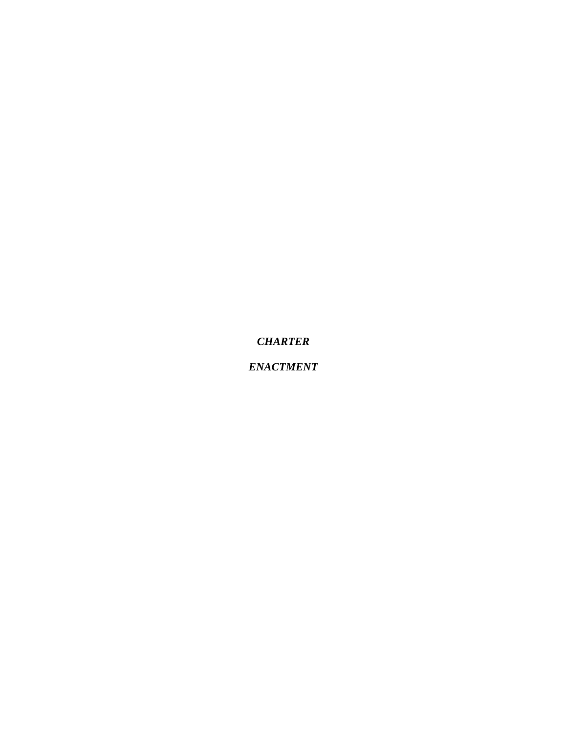*ENACTMENT*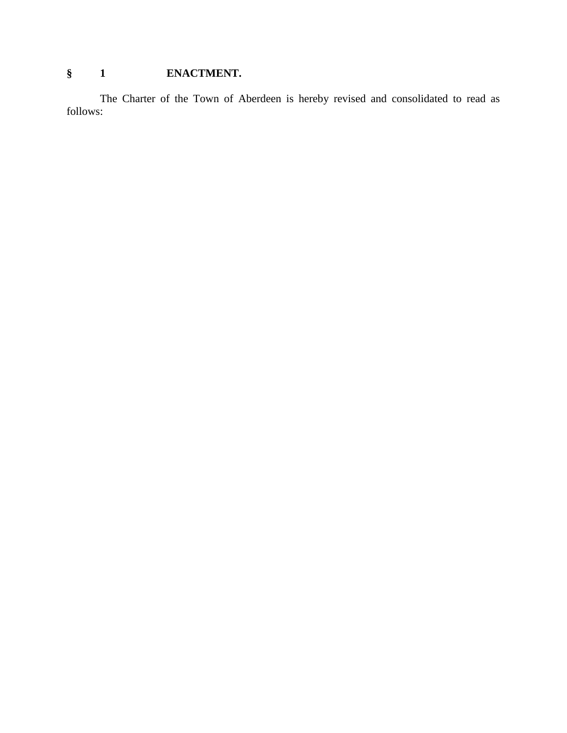# **§ 1 ENACTMENT.**

The Charter of the Town of Aberdeen is hereby revised and consolidated to read as follows: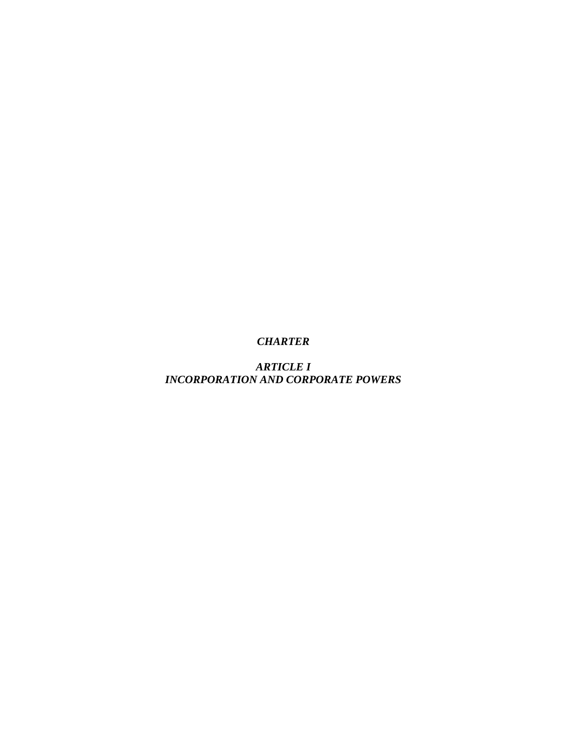*ARTICLE I INCORPORATION AND CORPORATE POWERS*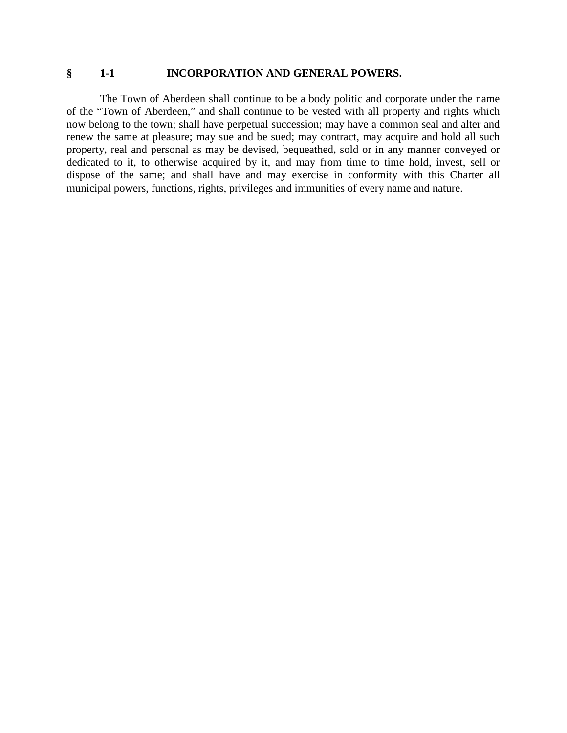#### **§ 1-1 INCORPORATION AND GENERAL POWERS.**

The Town of Aberdeen shall continue to be a body politic and corporate under the name of the "Town of Aberdeen," and shall continue to be vested with all property and rights which now belong to the town; shall have perpetual succession; may have a common seal and alter and renew the same at pleasure; may sue and be sued; may contract, may acquire and hold all such property, real and personal as may be devised, bequeathed, sold or in any manner conveyed or dedicated to it, to otherwise acquired by it, and may from time to time hold, invest, sell or dispose of the same; and shall have and may exercise in conformity with this Charter all municipal powers, functions, rights, privileges and immunities of every name and nature.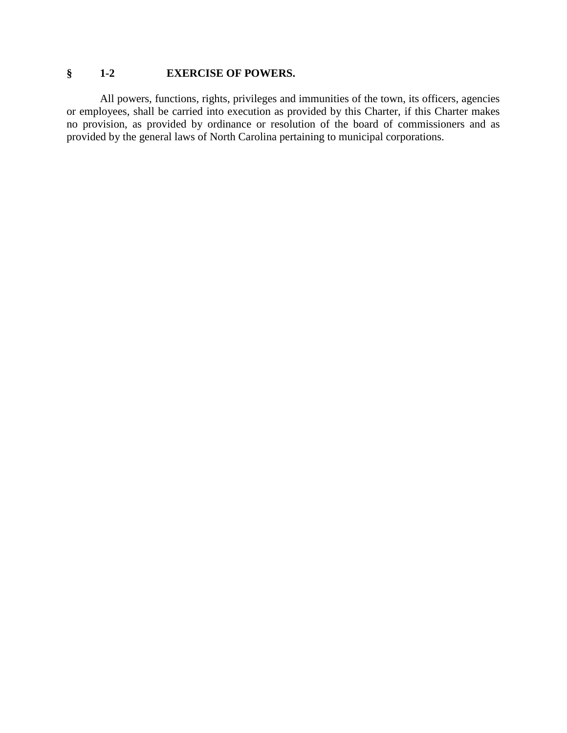## **§ 1-2 EXERCISE OF POWERS.**

All powers, functions, rights, privileges and immunities of the town, its officers, agencies or employees, shall be carried into execution as provided by this Charter, if this Charter makes no provision, as provided by ordinance or resolution of the board of commissioners and as provided by the general laws of North Carolina pertaining to municipal corporations.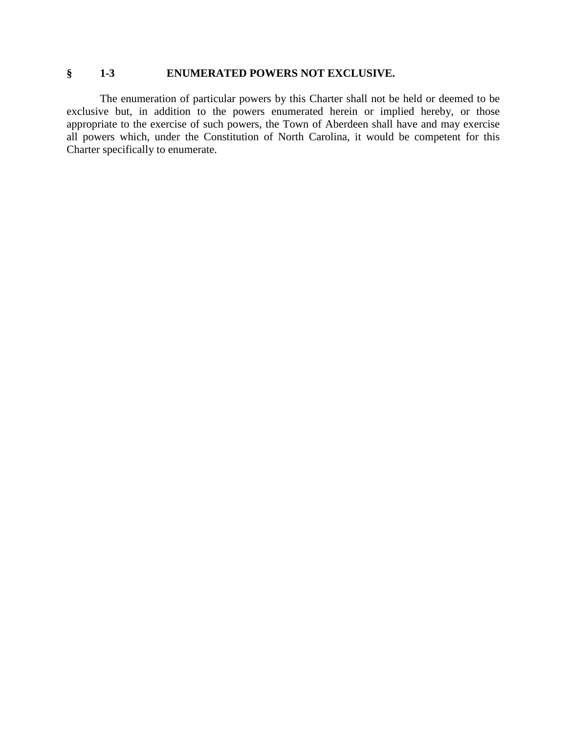### **§ 1-3 ENUMERATED POWERS NOT EXCLUSIVE.**

The enumeration of particular powers by this Charter shall not be held or deemed to be exclusive but, in addition to the powers enumerated herein or implied hereby, or those appropriate to the exercise of such powers, the Town of Aberdeen shall have and may exercise all powers which, under the Constitution of North Carolina, it would be competent for this Charter specifically to enumerate.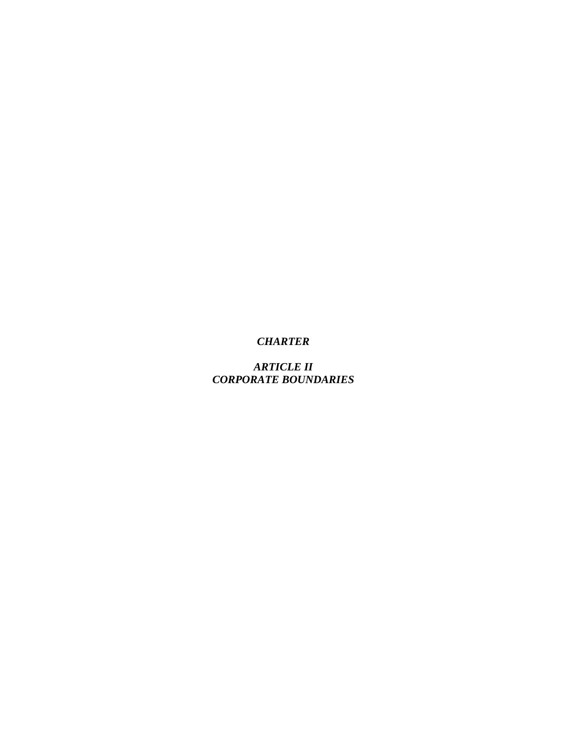*ARTICLE II CORPORATE BOUNDARIES*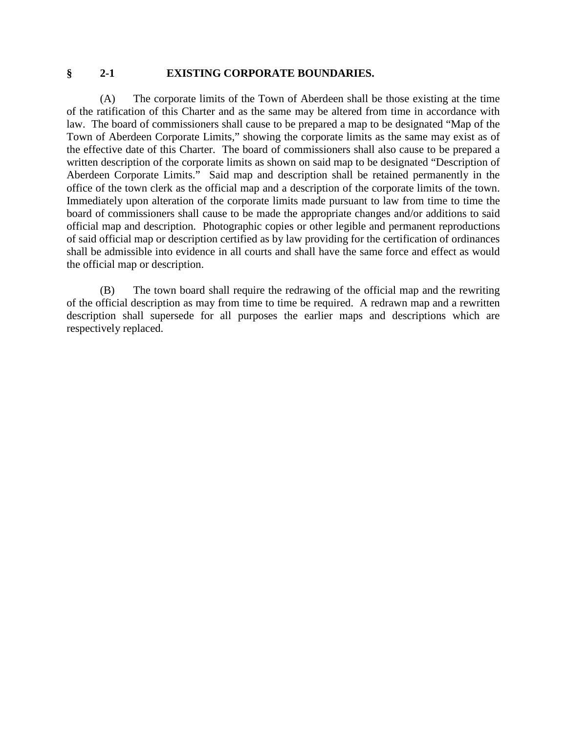#### **§ 2-1 EXISTING CORPORATE BOUNDARIES.**

(A) The corporate limits of the Town of Aberdeen shall be those existing at the time of the ratification of this Charter and as the same may be altered from time in accordance with law. The board of commissioners shall cause to be prepared a map to be designated "Map of the Town of Aberdeen Corporate Limits," showing the corporate limits as the same may exist as of the effective date of this Charter. The board of commissioners shall also cause to be prepared a written description of the corporate limits as shown on said map to be designated "Description of Aberdeen Corporate Limits." Said map and description shall be retained permanently in the office of the town clerk as the official map and a description of the corporate limits of the town. Immediately upon alteration of the corporate limits made pursuant to law from time to time the board of commissioners shall cause to be made the appropriate changes and/or additions to said official map and description. Photographic copies or other legible and permanent reproductions of said official map or description certified as by law providing for the certification of ordinances shall be admissible into evidence in all courts and shall have the same force and effect as would the official map or description.

(B) The town board shall require the redrawing of the official map and the rewriting of the official description as may from time to time be required. A redrawn map and a rewritten description shall supersede for all purposes the earlier maps and descriptions which are respectively replaced.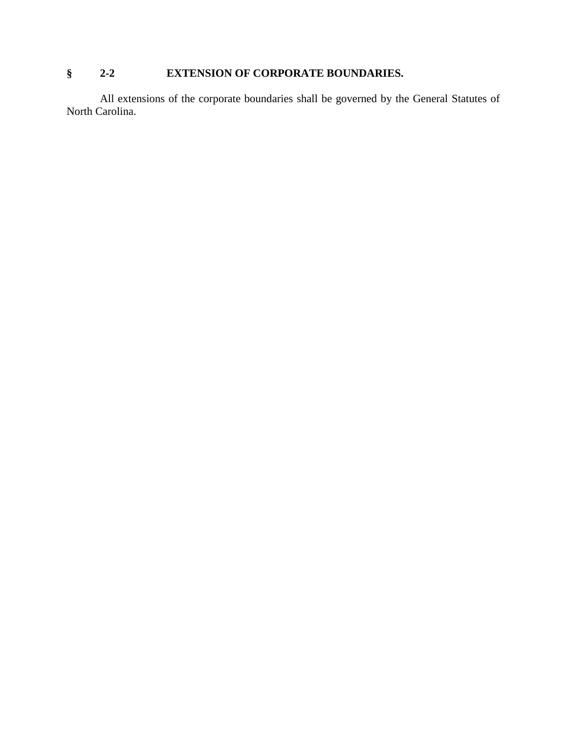# **§ 2-2 EXTENSION OF CORPORATE BOUNDARIES.**

All extensions of the corporate boundaries shall be governed by the General Statutes of North Carolina.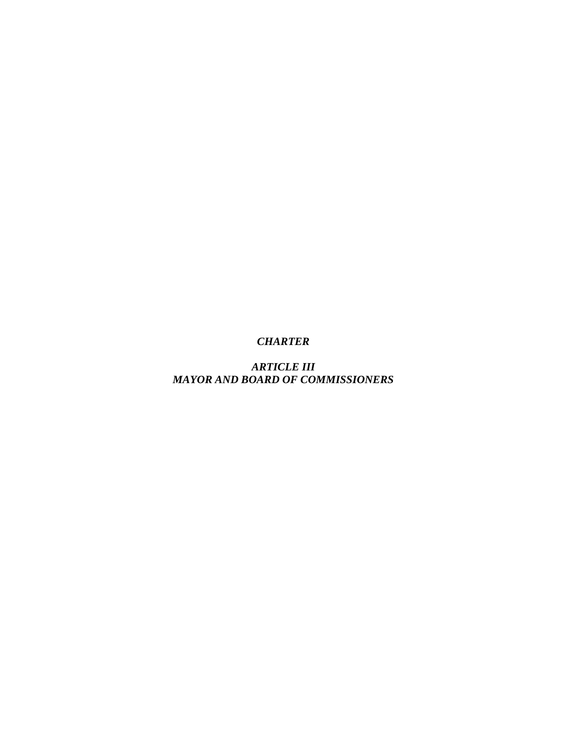*ARTICLE III MAYOR AND BOARD OF COMMISSIONERS*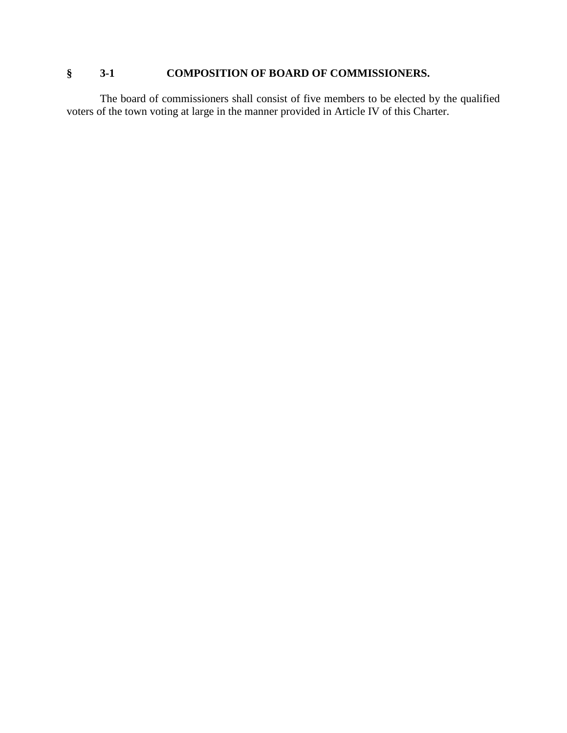# **§ 3-1 COMPOSITION OF BOARD OF COMMISSIONERS.**

The board of commissioners shall consist of five members to be elected by the qualified voters of the town voting at large in the manner provided in Article IV of this Charter.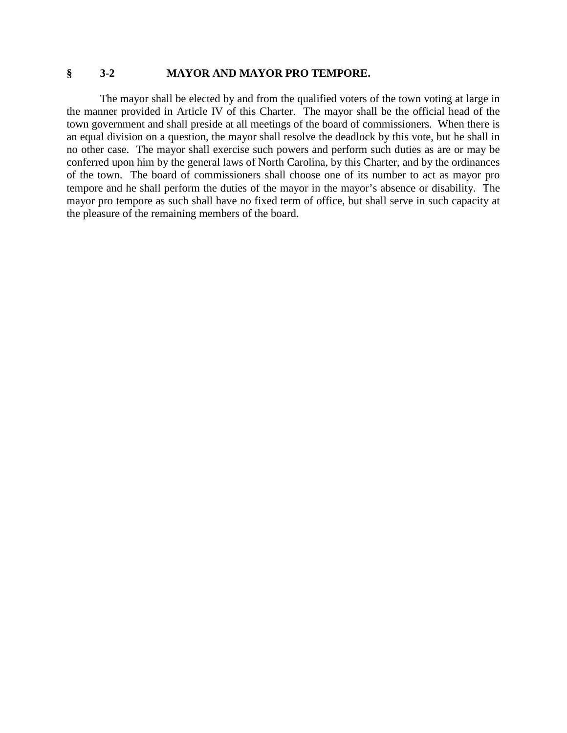#### **§ 3-2 MAYOR AND MAYOR PRO TEMPORE.**

The mayor shall be elected by and from the qualified voters of the town voting at large in the manner provided in Article IV of this Charter. The mayor shall be the official head of the town government and shall preside at all meetings of the board of commissioners. When there is an equal division on a question, the mayor shall resolve the deadlock by this vote, but he shall in no other case. The mayor shall exercise such powers and perform such duties as are or may be conferred upon him by the general laws of North Carolina, by this Charter, and by the ordinances of the town. The board of commissioners shall choose one of its number to act as mayor pro tempore and he shall perform the duties of the mayor in the mayor's absence or disability. The mayor pro tempore as such shall have no fixed term of office, but shall serve in such capacity at the pleasure of the remaining members of the board.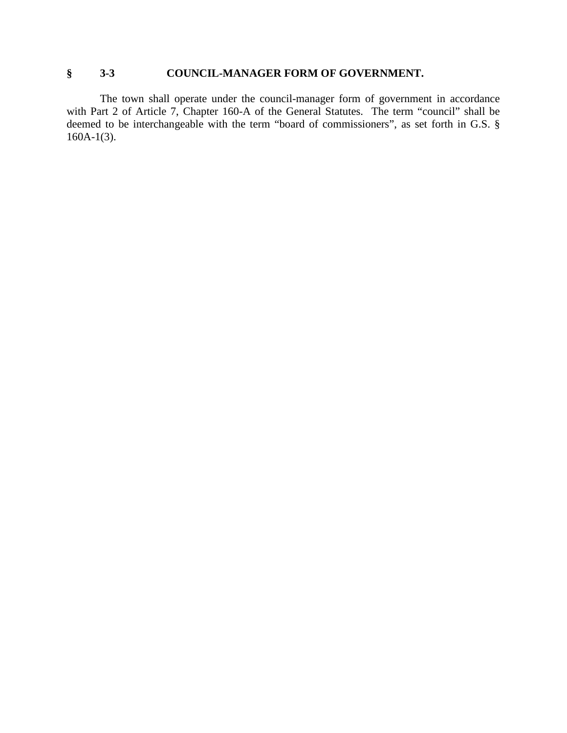### **§ 3-3 COUNCIL-MANAGER FORM OF GOVERNMENT.**

The town shall operate under the council-manager form of government in accordance with Part 2 of Article 7, Chapter 160-A of the General Statutes. The term "council" shall be deemed to be interchangeable with the term "board of commissioners", as set forth in G.S. §  $160A-1(3)$ .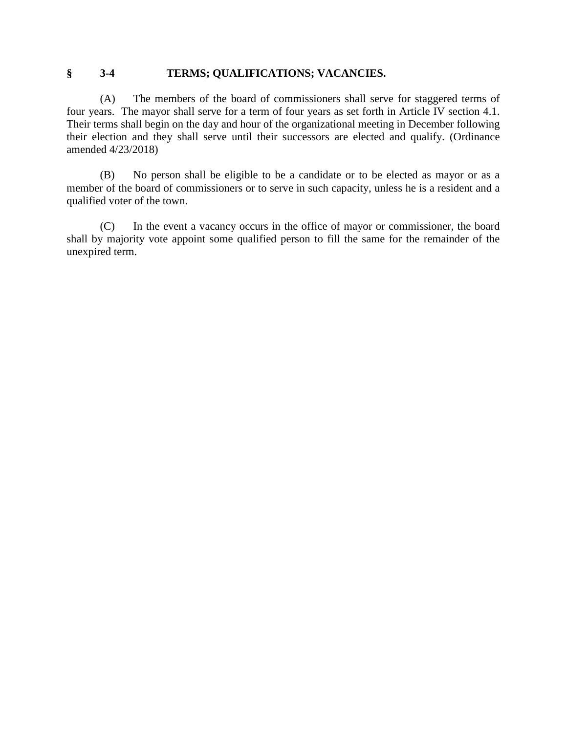### **§ 3-4 TERMS; QUALIFICATIONS; VACANCIES.**

(A) The members of the board of commissioners shall serve for staggered terms of four years. The mayor shall serve for a term of four years as set forth in Article IV section 4.1. Their terms shall begin on the day and hour of the organizational meeting in December following their election and they shall serve until their successors are elected and qualify. (Ordinance amended 4/23/2018)

(B) No person shall be eligible to be a candidate or to be elected as mayor or as a member of the board of commissioners or to serve in such capacity, unless he is a resident and a qualified voter of the town.

(C) In the event a vacancy occurs in the office of mayor or commissioner, the board shall by majority vote appoint some qualified person to fill the same for the remainder of the unexpired term.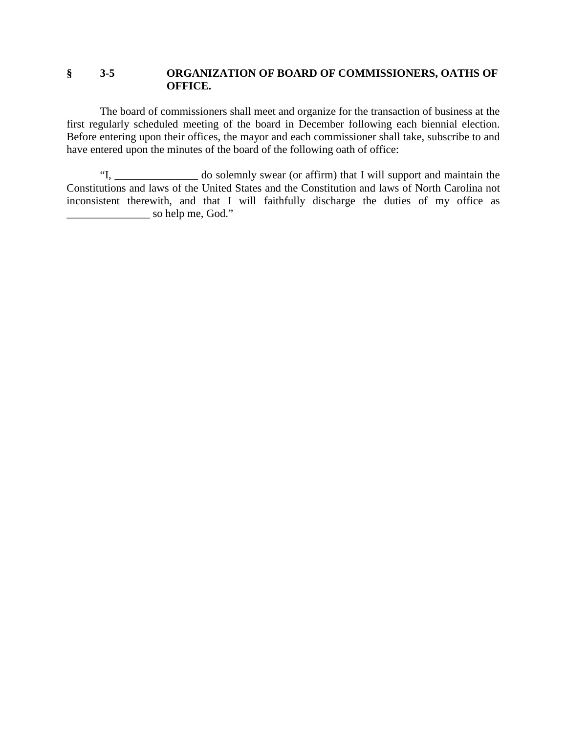### **§ 3-5 ORGANIZATION OF BOARD OF COMMISSIONERS, OATHS OF OFFICE.**

The board of commissioners shall meet and organize for the transaction of business at the first regularly scheduled meeting of the board in December following each biennial election. Before entering upon their offices, the mayor and each commissioner shall take, subscribe to and have entered upon the minutes of the board of the following oath of office:

"I, \_\_\_\_\_\_\_\_\_\_\_\_\_\_\_ do solemnly swear (or affirm) that I will support and maintain the Constitutions and laws of the United States and the Constitution and laws of North Carolina not inconsistent therewith, and that I will faithfully discharge the duties of my office as \_\_\_\_\_\_\_\_\_\_\_\_\_\_\_ so help me, God."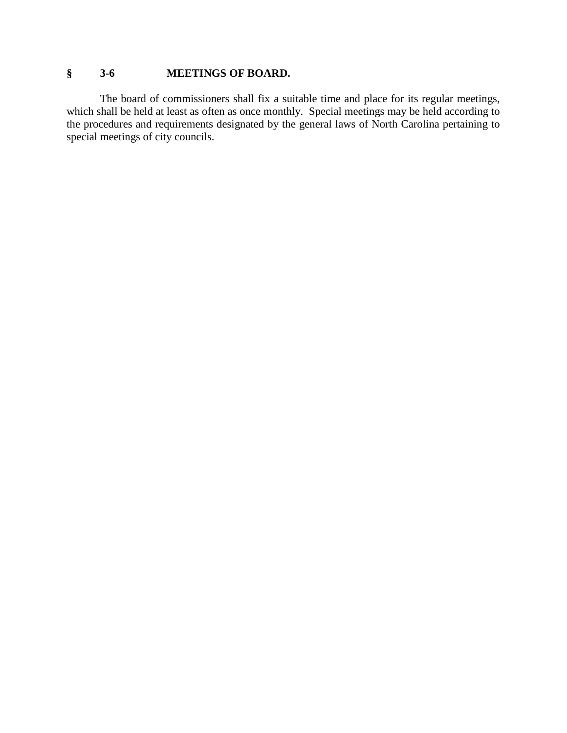# **§ 3-6 MEETINGS OF BOARD.**

The board of commissioners shall fix a suitable time and place for its regular meetings, which shall be held at least as often as once monthly. Special meetings may be held according to the procedures and requirements designated by the general laws of North Carolina pertaining to special meetings of city councils.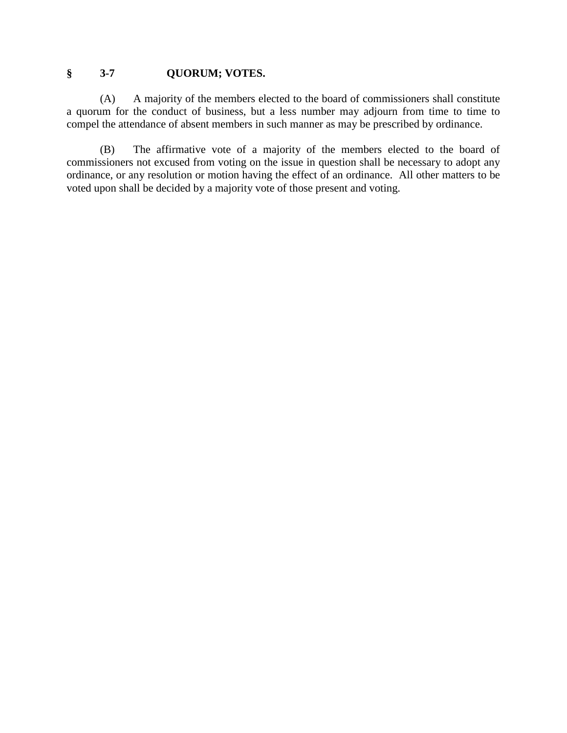## **§ 3-7 QUORUM; VOTES.**

(A) A majority of the members elected to the board of commissioners shall constitute a quorum for the conduct of business, but a less number may adjourn from time to time to compel the attendance of absent members in such manner as may be prescribed by ordinance.

(B) The affirmative vote of a majority of the members elected to the board of commissioners not excused from voting on the issue in question shall be necessary to adopt any ordinance, or any resolution or motion having the effect of an ordinance. All other matters to be voted upon shall be decided by a majority vote of those present and voting.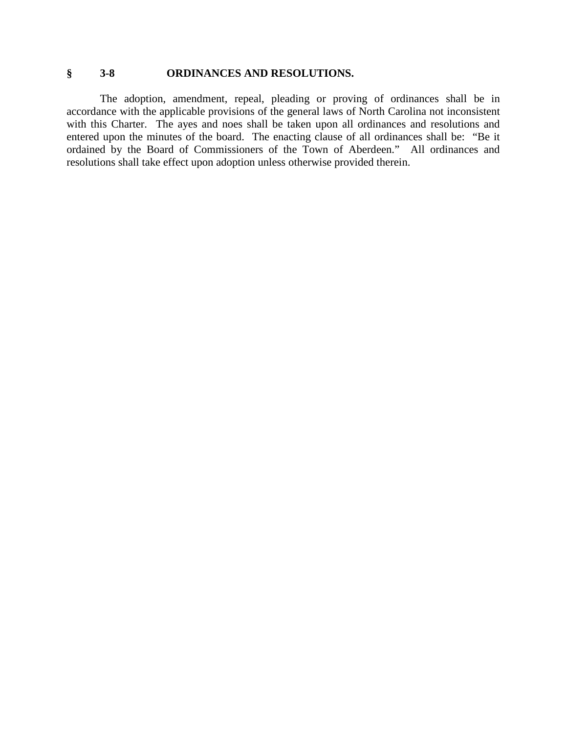## **§ 3-8 ORDINANCES AND RESOLUTIONS.**

The adoption, amendment, repeal, pleading or proving of ordinances shall be in accordance with the applicable provisions of the general laws of North Carolina not inconsistent with this Charter. The ayes and noes shall be taken upon all ordinances and resolutions and entered upon the minutes of the board. The enacting clause of all ordinances shall be: "Be it ordained by the Board of Commissioners of the Town of Aberdeen." All ordinances and resolutions shall take effect upon adoption unless otherwise provided therein.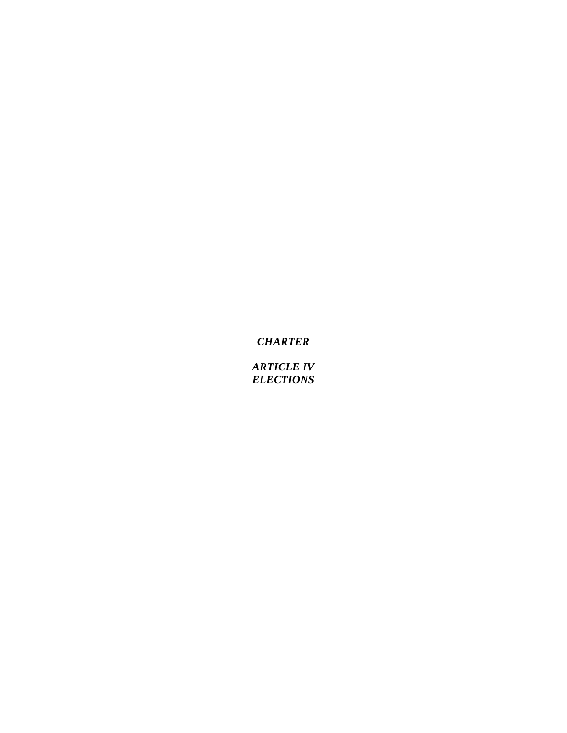*ARTICLE IV ELECTIONS*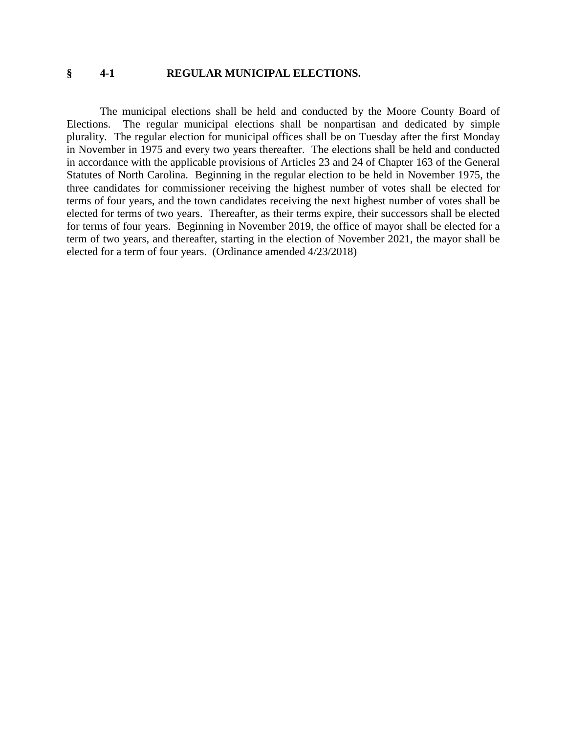#### **§ 4-1 REGULAR MUNICIPAL ELECTIONS.**

The municipal elections shall be held and conducted by the Moore County Board of Elections. The regular municipal elections shall be nonpartisan and dedicated by simple plurality. The regular election for municipal offices shall be on Tuesday after the first Monday in November in 1975 and every two years thereafter. The elections shall be held and conducted in accordance with the applicable provisions of Articles 23 and 24 of Chapter 163 of the General Statutes of North Carolina. Beginning in the regular election to be held in November 1975, the three candidates for commissioner receiving the highest number of votes shall be elected for terms of four years, and the town candidates receiving the next highest number of votes shall be elected for terms of two years. Thereafter, as their terms expire, their successors shall be elected for terms of four years. Beginning in November 2019, the office of mayor shall be elected for a term of two years, and thereafter, starting in the election of November 2021, the mayor shall be elected for a term of four years. (Ordinance amended 4/23/2018)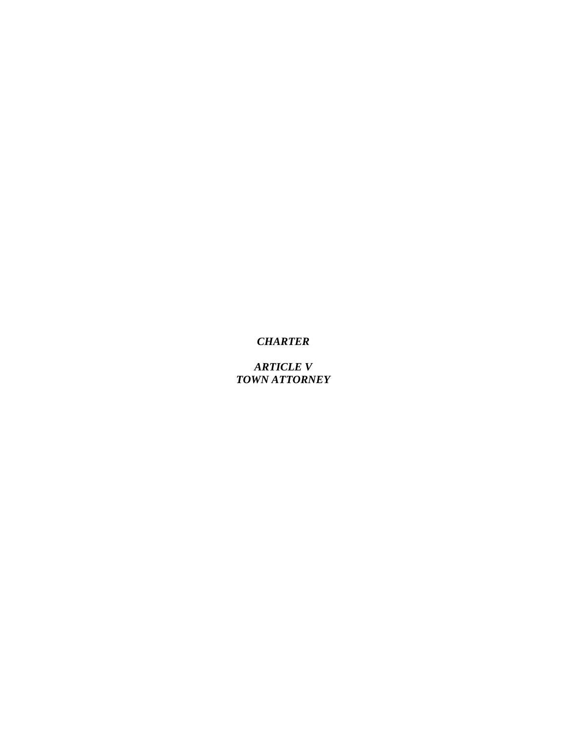*ARTICLE V TOWN ATTORNEY*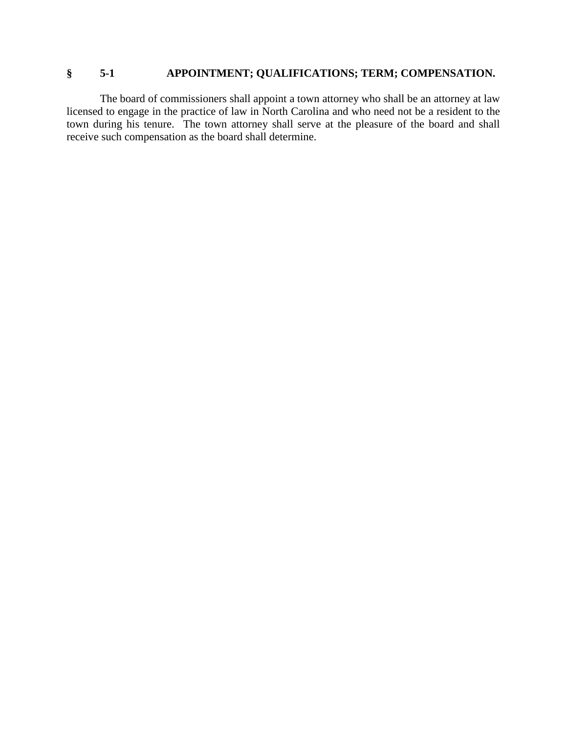## **§ 5-1 APPOINTMENT; QUALIFICATIONS; TERM; COMPENSATION.**

The board of commissioners shall appoint a town attorney who shall be an attorney at law licensed to engage in the practice of law in North Carolina and who need not be a resident to the town during his tenure. The town attorney shall serve at the pleasure of the board and shall receive such compensation as the board shall determine.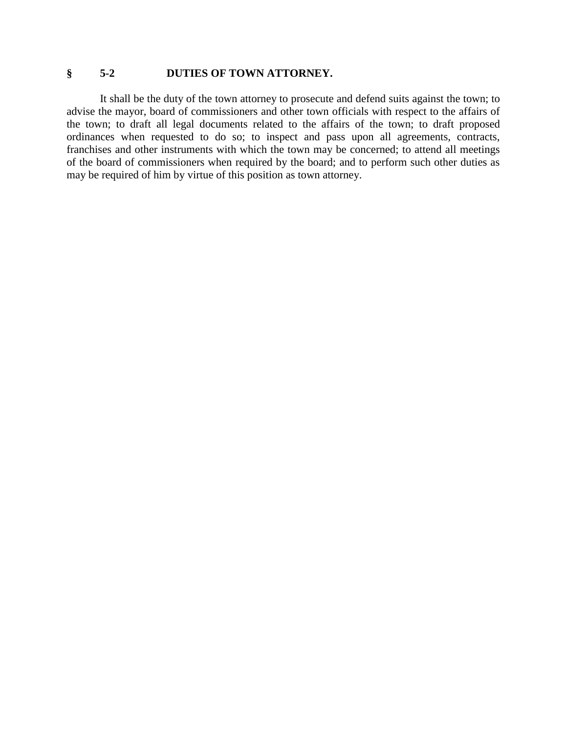### **§ 5-2 DUTIES OF TOWN ATTORNEY.**

It shall be the duty of the town attorney to prosecute and defend suits against the town; to advise the mayor, board of commissioners and other town officials with respect to the affairs of the town; to draft all legal documents related to the affairs of the town; to draft proposed ordinances when requested to do so; to inspect and pass upon all agreements, contracts, franchises and other instruments with which the town may be concerned; to attend all meetings of the board of commissioners when required by the board; and to perform such other duties as may be required of him by virtue of this position as town attorney.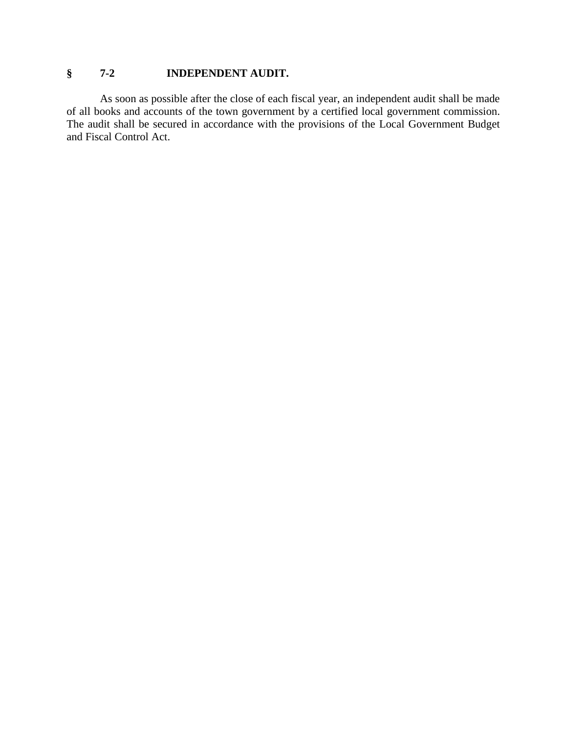# **§ 7-2 INDEPENDENT AUDIT.**

As soon as possible after the close of each fiscal year, an independent audit shall be made of all books and accounts of the town government by a certified local government commission. The audit shall be secured in accordance with the provisions of the Local Government Budget and Fiscal Control Act.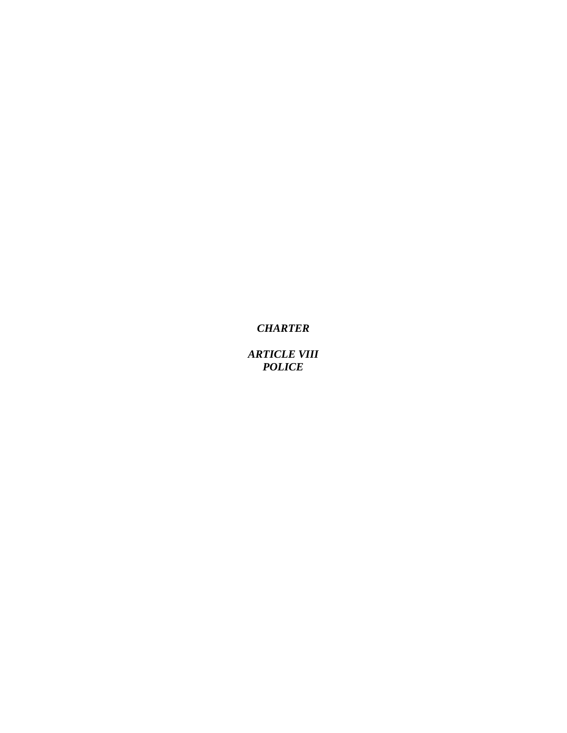*ARTICLE VIII POLICE*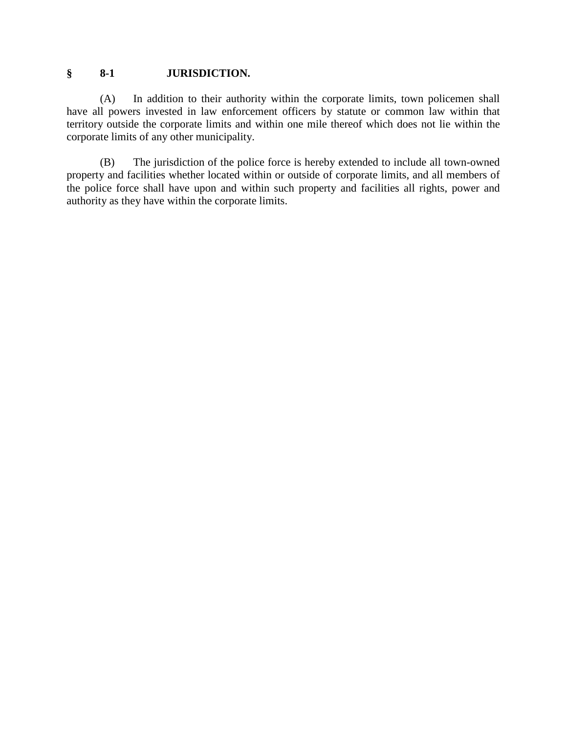### **§ 8-1 JURISDICTION.**

(A) In addition to their authority within the corporate limits, town policemen shall have all powers invested in law enforcement officers by statute or common law within that territory outside the corporate limits and within one mile thereof which does not lie within the corporate limits of any other municipality.

(B) The jurisdiction of the police force is hereby extended to include all town-owned property and facilities whether located within or outside of corporate limits, and all members of the police force shall have upon and within such property and facilities all rights, power and authority as they have within the corporate limits.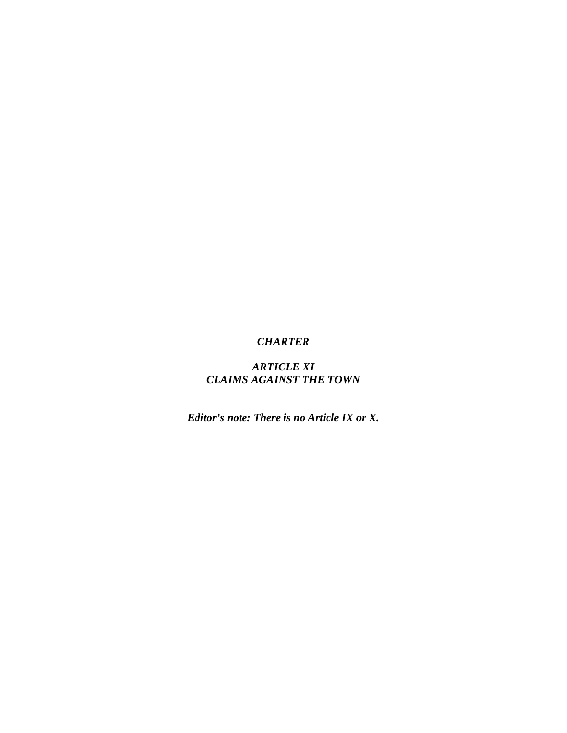## *ARTICLE XI CLAIMS AGAINST THE TOWN*

*Editor's note: There is no Article IX or X.*